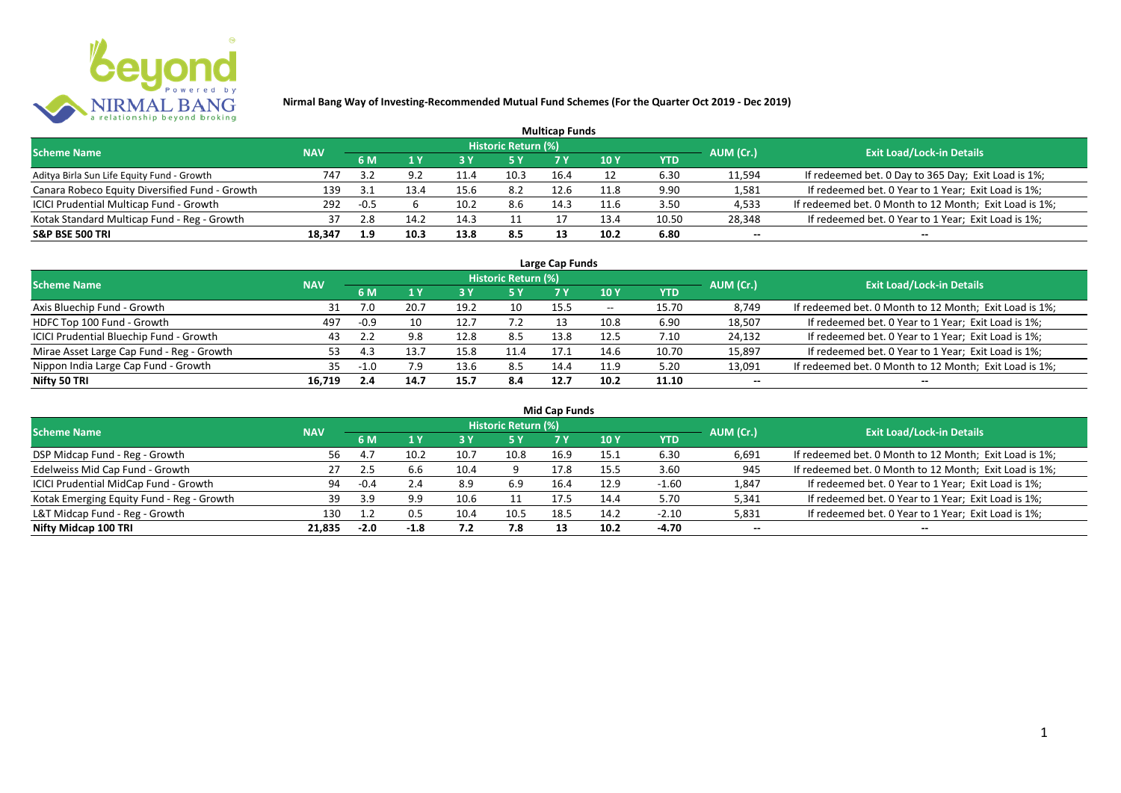

|                                                |            |        |      |      |                            | <b>Multicap Funds</b> |                 |            |           |                                                        |
|------------------------------------------------|------------|--------|------|------|----------------------------|-----------------------|-----------------|------------|-----------|--------------------------------------------------------|
| <b>Scheme Name</b>                             | <b>NAV</b> |        |      |      | <b>Historic Return (%)</b> |                       |                 |            | AUM (Cr.) | <b>Exit Load/Lock-in Details</b>                       |
|                                                |            | 6 M    |      | 73 Y |                            |                       | 10 <sub>Y</sub> | <b>YTD</b> |           |                                                        |
| Aditya Birla Sun Life Equity Fund - Growth     | 747        | 3.2    | Ωſ   | 11.4 | 10.3                       | 16.4                  |                 | 6.30       | 11,594    | If redeemed bet. 0 Day to 365 Day; Exit Load is 1%;    |
| Canara Robeco Equity Diversified Fund - Growth | 139        | -21    |      | 15.6 | 8.2                        | 12.6                  | 11.8            | 9.90       | 1,581     | If redeemed bet. 0 Year to 1 Year; Exit Load is 1%;    |
| ICICI Prudential Multicap Fund - Growth        | 292        | $-0.5$ |      | 10.2 | 8.6                        | 14.3                  | 11.6            | 3.50       | 4,533     | If redeemed bet. 0 Month to 12 Month; Exit Load is 1%; |
| Kotak Standard Multicap Fund - Reg - Growth    | 37         | 2.8    | 14.  | 14.3 |                            |                       | 13.4            | 10.50      | 28,348    | If redeemed bet. 0 Year to 1 Year; Exit Load is 1%;    |
| <b>S&amp;P BSE 500 TRI</b>                     | 18,347     | 1.9    | 10.3 | 13.8 | 8.5                        |                       | 10.2            | 6.80       | $- -$     | --                                                     |

| Large Cap Funds                           |            |        |      |      |                            |      |       |            |           |                                                        |  |  |  |
|-------------------------------------------|------------|--------|------|------|----------------------------|------|-------|------------|-----------|--------------------------------------------------------|--|--|--|
| <b>Scheme Name</b>                        | <b>NAV</b> |        |      |      | <b>Historic Return (%)</b> |      |       |            | AUM (Cr.) | <b>Exit Load/Lock-in Details</b>                       |  |  |  |
|                                           |            | 6 M    |      |      | 5 Y                        |      | 10 Y  | <b>YTD</b> |           |                                                        |  |  |  |
| Axis Bluechip Fund - Growth               |            | 7.0    | 20.7 | 19.2 | 10                         | 15.5 | $- -$ | 15.70      | 8,749     | If redeemed bet. 0 Month to 12 Month; Exit Load is 1%; |  |  |  |
| HDFC Top 100 Fund - Growth                | 497        | $-0.9$ | 10   | 12.7 | 1.2                        |      | 10.8  | 6.90       | 18,507    | If redeemed bet. 0 Year to 1 Year; Exit Load is 1%;    |  |  |  |
| ICICI Prudential Bluechip Fund - Growth   | 43         |        | 9.8  | 12.8 | 8.5                        | 13.8 | 12.5  | 7.10       | 24,132    | If redeemed bet. 0 Year to 1 Year; Exit Load is 1%;    |  |  |  |
| Mirae Asset Large Cap Fund - Reg - Growth | 53.        | -4.3   | 13.7 | 15.8 | 11.4                       | 17.1 | 14.6  | 10.70      | 15,897    | If redeemed bet. 0 Year to 1 Year; Exit Load is 1%;    |  |  |  |
| Nippon India Large Cap Fund - Growth      | 35.        | -1.0   | 7.9  | 13.6 | 8.5                        | 14.4 | 11.9  | 5.20       | 13,091    | If redeemed bet. 0 Month to 12 Month; Exit Load is 1%; |  |  |  |
| Nifty 50 TRI                              | 16.719     | 2.4    | 14.7 | 15.7 | 8.4                        | 12.7 | 10.2  | 11.10      | $- -$     | $- -$                                                  |  |  |  |

| <b>Mid Cap Funds</b>                      |            |        |        |      |                            |      |      |            |           |                                                        |  |  |  |
|-------------------------------------------|------------|--------|--------|------|----------------------------|------|------|------------|-----------|--------------------------------------------------------|--|--|--|
| <b>Scheme Name</b>                        | <b>NAV</b> |        |        |      | <b>Historic Return (%)</b> |      |      |            | AUM (Cr.) | <b>Exit Load/Lock-in Details</b>                       |  |  |  |
|                                           |            | 6 M    |        |      | 5 Y                        | 7 Y  | 10 Y | <b>YTD</b> |           |                                                        |  |  |  |
| DSP Midcap Fund - Reg - Growth            | 56.        | 4.     | 10.2   | 10.7 | 10.8                       | 16.9 | 15.1 | 6.30       | 6,691     | If redeemed bet. 0 Month to 12 Month; Exit Load is 1%; |  |  |  |
| Edelweiss Mid Cap Fund - Growth           | 27         |        | 6.6    | 10.4 |                            | 17.8 | 15.5 | 3.60       | 945       | If redeemed bet. 0 Month to 12 Month; Exit Load is 1%; |  |  |  |
| ICICI Prudential MidCap Fund - Growth     | 94         | -0.4   | 2.4    | 8.9  | 6.9                        | 16.4 | 12.9 | $-1.60$    | 1,847     | If redeemed bet. 0 Year to 1 Year; Exit Load is 1%;    |  |  |  |
| Kotak Emerging Equity Fund - Reg - Growth | 39         | 3.9    | 9.9    | 10.6 |                            | 17.5 | 14.4 | 5.70       | 5,341     | If redeemed bet. 0 Year to 1 Year; Exit Load is 1%;    |  |  |  |
| L&T Midcap Fund - Reg - Growth            | 130        |        | 0.5    | 10.4 | 10.5                       | 18.5 | 14.2 | $-2.10$    | 5,831     | If redeemed bet. 0 Year to 1 Year; Exit Load is 1%;    |  |  |  |
| Nifty Midcap 100 TRI                      | 21.835     | $-2.0$ | $-1.8$ |      | 7.8                        |      | 10.2 | -4.70      | $- -$     | $- -$                                                  |  |  |  |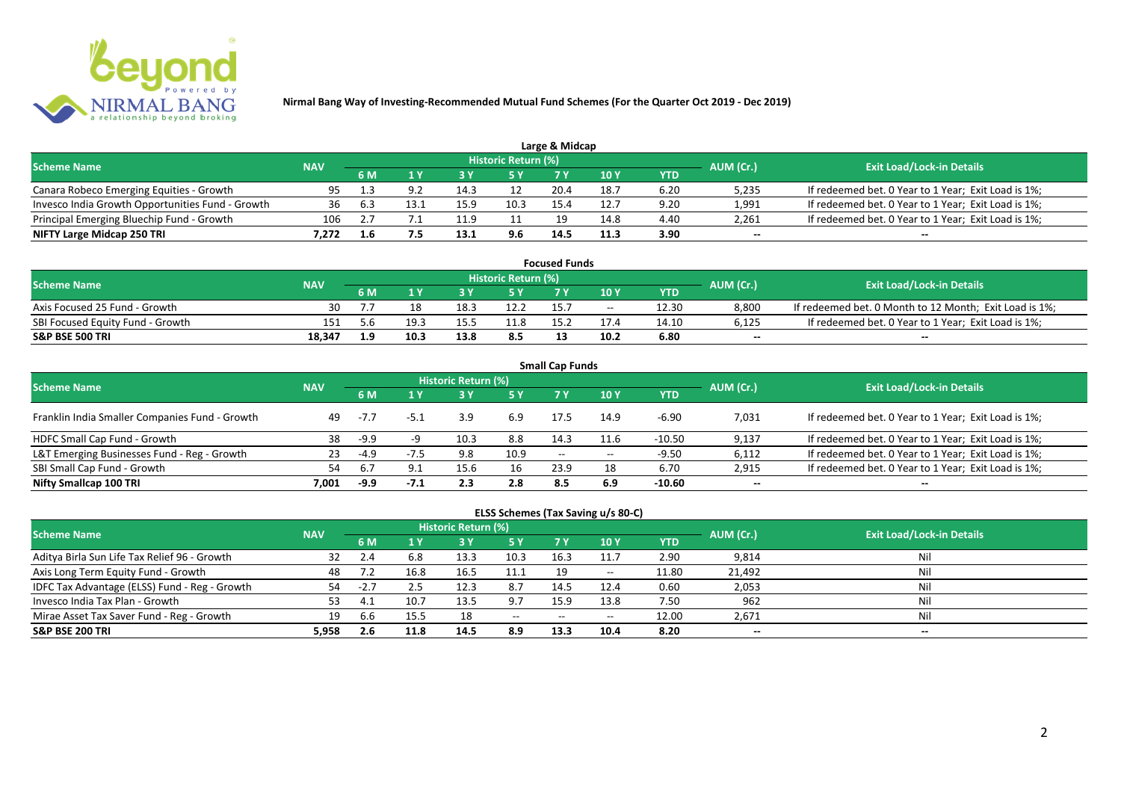

| Large & Midcap                                   |            |     |      |      |                            |      |               |      |           |                                                     |  |  |  |
|--------------------------------------------------|------------|-----|------|------|----------------------------|------|---------------|------|-----------|-----------------------------------------------------|--|--|--|
| <b>Scheme Name</b>                               | <b>NAV</b> |     |      |      | <b>Historic Return (%)</b> |      |               |      | AUM (Cr.) | <b>Exit Load/Lock-in Details</b>                    |  |  |  |
|                                                  |            | 6 M |      |      | 5 Y                        |      | $\sqrt{10}$ Y | YTD  |           |                                                     |  |  |  |
| Canara Robeco Emerging Equities - Growth         | 95         |     |      | 14.3 |                            | 20.4 | 18.7          | 6.20 | 5,235     | If redeemed bet. 0 Year to 1 Year; Exit Load is 1%; |  |  |  |
| Invesco India Growth Opportunities Fund - Growth | 36         |     | 13.1 | 15.9 | 10.3                       | 15.4 | 12.7          | 9.20 | 1,991     | If redeemed bet. 0 Year to 1 Year; Exit Load is 1%; |  |  |  |
| Principal Emerging Bluechip Fund - Growth        | 106        |     |      |      |                            | 19   | 14.8          | 4.40 | 2,261     | If redeemed bet. 0 Year to 1 Year; Exit Load is 1%; |  |  |  |
| NIFTY Large Midcap 250 TRI                       | 7.272      |     |      | 13.1 | 9.6                        | 14.5 | 11.3          | 3.90 | $-$       | $- -$                                               |  |  |  |

| <b>Focused Funds</b>             |            |      |      |      |                            |      |       |       |           |                                                        |  |  |
|----------------------------------|------------|------|------|------|----------------------------|------|-------|-------|-----------|--------------------------------------------------------|--|--|
| <b>Scheme Name</b>               | <b>NAV</b> |      |      |      | <b>Historic Return (%)</b> |      |       |       | AUM (Cr.) | <b>Exit Load/Lock-in Details</b>                       |  |  |
|                                  |            | 6 M  |      |      | 5 Y                        | 7 V  | 10 Y  | YTD   |           |                                                        |  |  |
| Axis Focused 25 Fund - Growth    | 30         |      |      | 18.5 | 12.2                       |      | $- -$ | 12.30 | 8.800     | If redeemed bet. 0 Month to 12 Month; Exit Load is 1%; |  |  |
| SBI Focused Equity Fund - Growth | 151        | -5.6 | 19.1 | 15.5 | 11.8                       | 15.7 | 17.4  | 14.10 | 6,125     | If redeemed bet. 0 Year to 1 Year; Exit Load is 1%;    |  |  |
| <b>S&amp;P BSE 500 TRI</b>       | 18.347     | 1.9  | 10.3 | 13.8 | 8.5                        | 19   | 10.2  | 6.80  | $- -$     | $- -$                                                  |  |  |

| <b>Small Cap Funds</b>                         |            |        |      |                     |      |                   |       |            |           |                                                     |  |  |  |
|------------------------------------------------|------------|--------|------|---------------------|------|-------------------|-------|------------|-----------|-----------------------------------------------------|--|--|--|
| <b>Scheme Name</b>                             | <b>NAV</b> |        |      | Historic Return (%) |      |                   |       |            | AUM (Cr.) | <b>Exit Load/Lock-in Details</b>                    |  |  |  |
|                                                |            |        |      |                     | 5 Y  | 7 Y               | 10Y   | <b>YTD</b> |           |                                                     |  |  |  |
| Franklin India Smaller Companies Fund - Growth | 49         | $-7.7$ | -5.1 | 3.9                 | 6.9  | 17.5              | 14.9  | $-6.90$    | 7,031     | If redeemed bet. 0 Year to 1 Year; Exit Load is 1%; |  |  |  |
| HDFC Small Cap Fund - Growth                   | 38         | $-9.9$ |      | 10.3                | 8.8  | 14.3              | 11.6  | $-10.50$   | 9,137     | If redeemed bet. 0 Year to 1 Year; Exit Load is 1%; |  |  |  |
| L&T Emerging Businesses Fund - Reg - Growth    | 23         | -4.9   |      | 9.8                 | 10.9 | $\hspace{0.05cm}$ | $- -$ | $-9.50$    | 6,112     | If redeemed bet. 0 Year to 1 Year; Exit Load is 1%; |  |  |  |
| SBI Small Cap Fund - Growth                    | 54         | 6.7    | 9.1  | 15.6                | 16   | 23.9              | 18    | 6.70       | 2,915     | If redeemed bet. 0 Year to 1 Year; Exit Load is 1%; |  |  |  |
| Nifty Smallcap 100 TRI                         | 7.001      | -9.9   |      | 2.3                 | 2.8  | 8.5               | 6.9   | $-10.60$   | $- -$     | --                                                  |  |  |  |

## **ELSS Schemes (Tax Saving u/s 80-C)**

| <b>Scheme Name</b>                            | <b>NAV</b> |     |      | <b>Historic Return (%)</b> |            |       |            |       | AUM (Cr.) | <b>Exit Load/Lock-in Details</b> |
|-----------------------------------------------|------------|-----|------|----------------------------|------------|-------|------------|-------|-----------|----------------------------------|
|                                               |            | 6 M |      |                            | <b>5 Y</b> | 7 Y   | <b>10Y</b> | YTD   |           |                                  |
| Aditya Birla Sun Life Tax Relief 96 - Growth  |            |     | 6.8  | 13.3                       | 10.3       | 16.3  | 11.7       | 2.90  | 9,814     | Nil                              |
| Axis Long Term Equity Fund - Growth           | 48         |     | 16.8 | 16.5                       | 11.1       | 19    | $- -$      | 11.80 | 21,492    | Nil                              |
| IDFC Tax Advantage (ELSS) Fund - Reg - Growth | 54         | -2  |      | 12.3                       | 8.7        | 14.5  | 12.4       | 0.60  | 2,053     | Nil                              |
| Invesco India Tax Plan - Growth               |            |     | 10.7 | 13.5                       | 9.7        | 15.9  | 13.8       | 7.50  | 962       | Nil                              |
| Mirae Asset Tax Saver Fund - Reg - Growth     | 19         | .bb | 15.5 | 18                         | $  \,$     | $- -$ | $- -$      | 12.00 | 2,671     | Nil                              |
| <b>S&amp;P BSE 200 TRI</b>                    | 5,958      | 2.6 | 11.8 | 14.5                       | 8.9        | 13.3  | 10.4       | 8.20  | $- -$     | $- -$                            |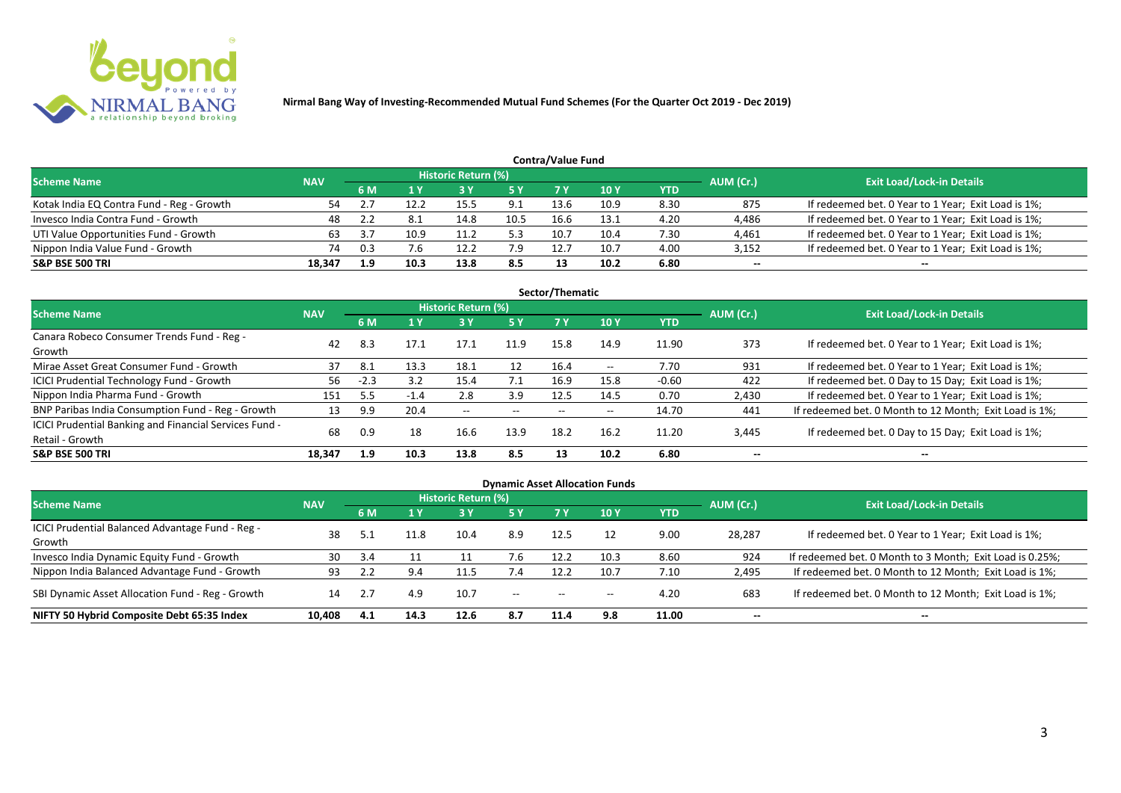

|                                           | <b>Contra/Value Fund</b> |     |      |                     |      |      |      |            |           |                                                     |  |  |  |  |  |
|-------------------------------------------|--------------------------|-----|------|---------------------|------|------|------|------------|-----------|-----------------------------------------------------|--|--|--|--|--|
| <b>Scheme Name</b>                        | <b>NAV</b>               |     |      | Historic Return (%) |      |      |      |            | AUM (Cr.) | <b>Exit Load/Lock-in Details</b>                    |  |  |  |  |  |
|                                           |                          | 6 M |      |                     | 5 Y  |      | 10Y  | <b>YTD</b> |           |                                                     |  |  |  |  |  |
| Kotak India EQ Contra Fund - Reg - Growth | 54                       |     | 12.2 | 15.5                | 9.1  | 13.6 | 10.9 | 8.30       | 875       | If redeemed bet. 0 Year to 1 Year; Exit Load is 1%; |  |  |  |  |  |
| Invesco India Contra Fund - Growth        | 48                       |     | -8.1 | 14.8                | 10.5 | 16.6 | 13.1 | 4.20       | 4,486     | If redeemed bet. 0 Year to 1 Year; Exit Load is 1%; |  |  |  |  |  |
| UTI Value Opportunities Fund - Growth     | 63                       |     | 10.9 | 11.2                | 5.3  | 10.7 | 10.4 | 7.30       | 4,461     | If redeemed bet. 0 Year to 1 Year; Exit Load is 1%; |  |  |  |  |  |
| Nippon India Value Fund - Growth          | 74                       | 0.3 | 7.6  | 12.2                | 7.9  | 12.7 | 10.7 | 4.00       | 3,152     | If redeemed bet. 0 Year to 1 Year; Exit Load is 1%; |  |  |  |  |  |
| <b>S&amp;P BSE 500 TRI</b>                | 18.347                   | 1.9 | 10.3 | 13.8                | 8.5  |      | 10.2 | 6.80       | $- -$     | $-$                                                 |  |  |  |  |  |

| Sector/Thematic                                                           |            |        |        |                            |           |      |       |            |           |                                                        |  |  |  |  |
|---------------------------------------------------------------------------|------------|--------|--------|----------------------------|-----------|------|-------|------------|-----------|--------------------------------------------------------|--|--|--|--|
| Scheme Name                                                               | <b>NAV</b> |        |        | <b>Historic Return (%)</b> |           |      |       |            | AUM (Cr.) | <b>Exit Load/Lock-in Details</b>                       |  |  |  |  |
|                                                                           |            | 6 M    | 1Y     | <b>3 Y</b>                 | <b>5Y</b> | 7 Y  | 10Y   | <b>YTD</b> |           |                                                        |  |  |  |  |
| Canara Robeco Consumer Trends Fund - Reg -<br>Growth                      | 42         | 8.3    | 17.1   | 17.1                       | 11.9      | 15.8 | 14.9  | 11.90      | 373       | If redeemed bet. 0 Year to 1 Year; Exit Load is 1%;    |  |  |  |  |
| Mirae Asset Great Consumer Fund - Growth                                  | 37         | 8.1    | 13.3   | 18.1                       | 12        | 16.4 | $- -$ | 7.70       | 931       | If redeemed bet. 0 Year to 1 Year; Exit Load is 1%;    |  |  |  |  |
| <b>ICICI Prudential Technology Fund - Growth</b>                          | 56         | $-2.3$ | 3.2    | 15.4                       | 7.1       | 16.9 | 15.8  | $-0.60$    | 422       | If redeemed bet. 0 Day to 15 Day; Exit Load is 1%;     |  |  |  |  |
| Nippon India Pharma Fund - Growth                                         | 151        |        | $-1.4$ | 2.8                        | 3.9       | 12.5 | 14.5  | 0.70       | 2,430     | If redeemed bet. 0 Year to 1 Year; Exit Load is 1%;    |  |  |  |  |
| BNP Paribas India Consumption Fund - Reg - Growth                         | 13         | 9.9    | 20.4   | $- -$                      | $- -$     | $-$  | $- -$ | 14.70      | 441       | If redeemed bet. 0 Month to 12 Month; Exit Load is 1%; |  |  |  |  |
| ICICI Prudential Banking and Financial Services Fund -<br>Retail - Growth | 68         | 0.9    | 18     | 16.6                       | 13.9      | 18.2 | 16.2  | 11.20      | 3,445     | If redeemed bet. 0 Day to 15 Day; Exit Load is 1%;     |  |  |  |  |
| <b>S&amp;P BSE 500 TRI</b>                                                | 18.347     | 1.9    | 10.3   | 13.8                       | 8.5       | 13   | 10.2  | 6.80       | --        | --                                                     |  |  |  |  |

| <b>Dynamic Asset Allocation Funds</b>                      |            |           |      |                            |         |                          |            |            |           |                                                          |  |  |  |
|------------------------------------------------------------|------------|-----------|------|----------------------------|---------|--------------------------|------------|------------|-----------|----------------------------------------------------------|--|--|--|
| Scheme Name                                                | <b>NAV</b> |           |      | <b>Historic Return (%)</b> |         |                          |            |            |           | <b>Exit Load/Lock-in Details</b>                         |  |  |  |
|                                                            |            | <b>6M</b> | 1 Y  | 3 Y                        | 5 Y     | <b>7Y</b>                | <b>10Y</b> | <b>YTD</b> | AUM (Cr.) |                                                          |  |  |  |
| ICICI Prudential Balanced Advantage Fund - Reg -<br>Growth | 38         |           | 11.8 | 10.4                       | 8.9     | 12.5                     |            | 9.00       | 28,287    | If redeemed bet. 0 Year to 1 Year; Exit Load is 1%;      |  |  |  |
| Invesco India Dynamic Equity Fund - Growth                 | 30         | 3.4       |      |                            | 7.6     | 12.2                     | 10.3       | 8.60       | 924       | If redeemed bet. 0 Month to 3 Month; Exit Load is 0.25%; |  |  |  |
| Nippon India Balanced Advantage Fund - Growth              | 93         |           | 9.4  |                            | 7.4     | 12.2                     | 10.7       | 7.10       | 2,495     | If redeemed bet. 0 Month to 12 Month; Exit Load is 1%;   |  |  |  |
| SBI Dynamic Asset Allocation Fund - Reg - Growth           | 14         |           | 4.9  | 10.7                       | $-  \,$ | $\overline{\phantom{a}}$ | $- -$      | 4.20       | 683       | If redeemed bet. 0 Month to 12 Month; Exit Load is 1%;   |  |  |  |
| NIFTY 50 Hybrid Composite Debt 65:35 Index                 | 10,408     | 4.1       | 14.3 | 12.6                       | 8.7     | 11.4                     | 9.8        | 11.00      | $- -$     | $- -$                                                    |  |  |  |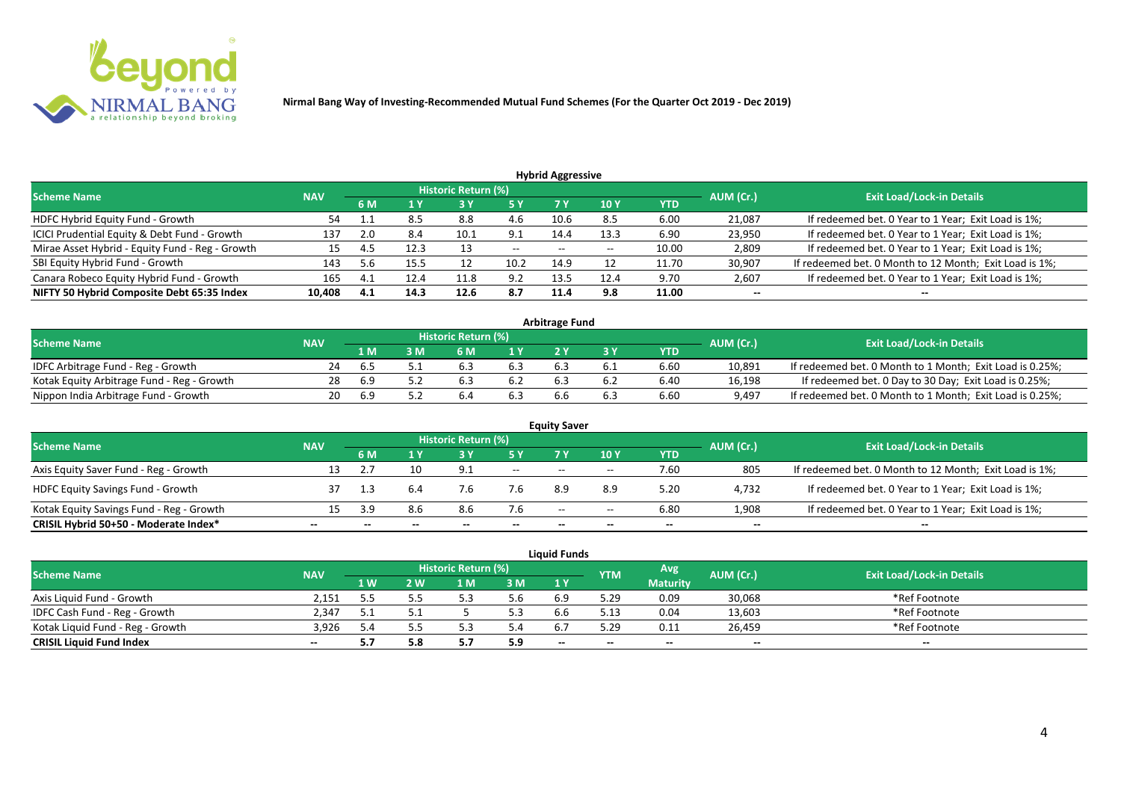

| <b>Hybrid Aggressive</b>                        |            |     |      |                            |       |                          |                 |       |           |                                                        |  |  |  |
|-------------------------------------------------|------------|-----|------|----------------------------|-------|--------------------------|-----------------|-------|-----------|--------------------------------------------------------|--|--|--|
| <b>Scheme Name</b>                              | <b>NAV</b> |     |      | <b>Historic Return (%)</b> |       |                          |                 |       | AUM (Cr.) | <b>Exit Load/Lock-in Details</b>                       |  |  |  |
|                                                 |            | 6 M | 1 Y  |                            | 5 Y   |                          | 10 <sub>1</sub> | YTD   |           |                                                        |  |  |  |
| HDFC Hybrid Equity Fund - Growth                | 54         |     | 8.5  | 8.8                        | 4.6   | 10.6                     | 8.5             | 6.00  | 21,087    | If redeemed bet. 0 Year to 1 Year; Exit Load is 1%;    |  |  |  |
| ICICI Prudential Equity & Debt Fund - Growth    | 137        | 2.0 | 8.4  | 10.1                       | 9.1   | 14.4                     | 13.3            | 6.90  | 23,950    | If redeemed bet. 0 Year to 1 Year; Exit Load is 1%;    |  |  |  |
| Mirae Asset Hybrid - Equity Fund - Reg - Growth |            |     | 12.3 |                            | $- -$ | $\overline{\phantom{a}}$ | --              | 10.00 | 2,809     | If redeemed bet. 0 Year to 1 Year; Exit Load is 1%;    |  |  |  |
| SBI Equity Hybrid Fund - Growth                 | 143        |     | 15.5 |                            | 10.2  | 14.9                     |                 | 11.70 | 30,907    | If redeemed bet. 0 Month to 12 Month; Exit Load is 1%; |  |  |  |
| Canara Robeco Equity Hybrid Fund - Growth       | 165        | 4.1 | 12.4 | 11.8                       | 9.2   | 13.5                     | 12.4            | 9.70  | 2,607     | If redeemed bet. 0 Year to 1 Year; Exit Load is 1%;    |  |  |  |
| NIFTY 50 Hybrid Composite Debt 65:35 Index      | 10,408     | 4.1 | 14.3 | 12.6                       | 8.7   | 11.4                     | 9.8             | 11.00 | $- -$     | $- -$                                                  |  |  |  |

| <b>Arbitrage Fund</b>                      |            |     |   |                            |     |  |  |            |           |                                                          |  |  |  |
|--------------------------------------------|------------|-----|---|----------------------------|-----|--|--|------------|-----------|----------------------------------------------------------|--|--|--|
| <b>Scheme Name</b>                         | <b>NAV</b> |     |   | <b>Historic Return (%)</b> |     |  |  |            | AUM (Cr.) | <b>Exit Load/Lock-in Details</b>                         |  |  |  |
|                                            |            | 1 M | M | ና M                        | 1 V |  |  | <b>YTD</b> |           |                                                          |  |  |  |
| IDFC Arbitrage Fund - Reg - Growth         |            |     |   |                            | 6.3 |  |  | 6.60       | 10,891    | If redeemed bet. 0 Month to 1 Month; Exit Load is 0.25%; |  |  |  |
| Kotak Equity Arbitrage Fund - Reg - Growth | 28         | 6.9 |   |                            |     |  |  | 6.40       | 16,198    | If redeemed bet. 0 Day to 30 Day; Exit Load is 0.25%;    |  |  |  |
| Nippon India Arbitrage Fund - Growth       | 20.        |     |   |                            | 6.3 |  |  | 6.60       | 9,497     | If redeemed bet. 0 Month to 1 Month; Exit Load is 0.25%; |  |  |  |

|                                          |            |     |     |                     |                          | <b>Equity Saver</b> |       |            |           |                                                        |
|------------------------------------------|------------|-----|-----|---------------------|--------------------------|---------------------|-------|------------|-----------|--------------------------------------------------------|
| <b>Scheme Name</b>                       | <b>NAV</b> |     |     | Historic Return (%) |                          |                     |       |            | AUM (Cr.) | <b>Exit Load/Lock-in Details</b>                       |
|                                          |            | 6 M |     |                     |                          |                     | 10Y   | <b>YTD</b> |           |                                                        |
| Axis Equity Saver Fund - Reg - Growth    |            |     |     | 9.1                 | $\overline{\phantom{a}}$ | $-$                 | $-$   | 7.60       | 805       | If redeemed bet. 0 Month to 12 Month; Exit Load is 1%; |
| <b>HDFC Equity Savings Fund - Growth</b> |            |     |     | 7.6                 | 7.6                      | 8.9                 |       | 5.20       | 4,732     | If redeemed bet. 0 Year to 1 Year; Exit Load is 1%;    |
| Kotak Equity Savings Fund - Reg - Growth |            |     | 8.6 | 8.6                 | 7.6                      | $ -$                | $- -$ | 6.80       | 1,908     | If redeemed bet. 0 Year to 1 Year; Exit Load is 1%;    |
| CRISIL Hybrid 50+50 - Moderate Index*    | --         |     |     | --                  | --                       | --                  | $- -$ |            | $- -$     | $- -$                                                  |

| <b>Liquid Funds</b>              |            |            |     |                     |     |       |            |                 |           |                                  |  |  |  |
|----------------------------------|------------|------------|-----|---------------------|-----|-------|------------|-----------------|-----------|----------------------------------|--|--|--|
| <b>Scheme Name</b>               | <b>NAV</b> |            |     | Historic Return (%) |     |       | <b>YTM</b> | Avg             | AUM (Cr.) | <b>Exit Load/Lock-in Details</b> |  |  |  |
|                                  |            | <b>1 W</b> | 2 W | 1 M                 | 3M  | 1 Y   |            | <b>Maturity</b> |           |                                  |  |  |  |
| Axis Liquid Fund - Growth        | 2.151      |            |     |                     | ა.ხ |       | 5.29       | 0.09            | 30,068    | *Ref Footnote                    |  |  |  |
| IDFC Cash Fund - Reg - Growth    | 2.347      |            |     |                     | 5.3 |       | 5.13       | 0.04            | 13,603    | *Ref Footnote                    |  |  |  |
| Kotak Liquid Fund - Reg - Growth | 3.926      | 5.4        |     |                     | 5.4 |       | 5.29       | 0.11            | 26.459    | *Ref Footnote                    |  |  |  |
| <b>CRISIL Liquid Fund Index</b>  | $- -$      | 5.7        |     | .                   | 5.9 | $- -$ | --         | $- -$           | $- -$     | $- -$                            |  |  |  |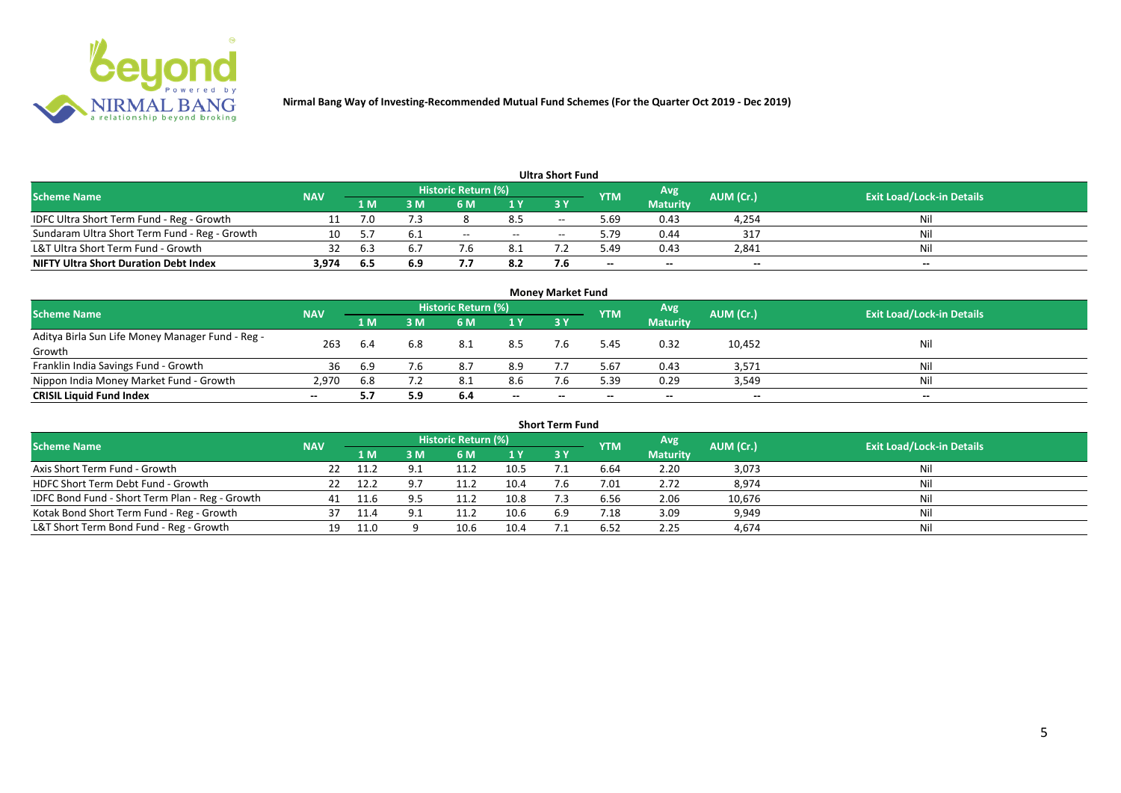

|                                               |            |     |     |                     |      | Ultra Short Fund         |            |                 |           |                                  |
|-----------------------------------------------|------------|-----|-----|---------------------|------|--------------------------|------------|-----------------|-----------|----------------------------------|
| <b>Scheme Name</b>                            | <b>NAV</b> |     |     | Historic Return (%) |      |                          | <b>YTM</b> | Avg.            | AUM (Cr.) | <b>Exit Load/Lock-in Details</b> |
|                                               |            | 1 M | : M | 6 M                 | 1 Y  | 3Y                       |            | <b>Maturity</b> |           |                                  |
| IDFC Ultra Short Term Fund - Reg - Growth     |            | 7.0 |     |                     | 8.5  | $- -$                    | 5.69       | 0.43            | 4,254     | Nil                              |
| Sundaram Ultra Short Term Fund - Reg - Growth | 10         |     | 6.1 | $- -$               | $ -$ | $\overline{\phantom{a}}$ | 5.79       | 0.44            | 317       | Nil                              |
| L&T Ultra Short Term Fund - Growth            | 32         | b.  |     |                     | 8.1  |                          | 49.د       | 0.43            | 2,841     | Nil                              |
| <b>NIFTY Ultra Short Duration Debt Index</b>  | 3,974      | 6.5 | 6.9 |                     | 8.2  |                          | $- -$      | $- -$           | $- -$     | $- -$                            |

| <b>Money Market Fund</b>                                   |            |                |     |                            |       |       |            |                 |           |                                  |  |  |  |
|------------------------------------------------------------|------------|----------------|-----|----------------------------|-------|-------|------------|-----------------|-----------|----------------------------------|--|--|--|
| <b>Scheme Name</b>                                         | <b>NAV</b> |                |     | <b>Historic Return (%)</b> |       |       | <b>YTM</b> | Avg'            | AUM (Cr.) | <b>Exit Load/Lock-in Details</b> |  |  |  |
|                                                            |            | 1 <sub>M</sub> | MК  | 6 M                        | 1Y    | -3 Y  |            | <b>Maturity</b> |           |                                  |  |  |  |
| Aditya Birla Sun Life Money Manager Fund - Reg -<br>Growth | 263        | 6.4            | 6.8 | 8.1                        | 8.5   |       | 5.45       | 0.32            | 10,452    | Nil                              |  |  |  |
| Franklin India Savings Fund - Growth                       | 36         | 6.9            | 7.6 | 8.7                        | 8.9   |       | 5.67       | 0.43            | 3,571     | Nil                              |  |  |  |
| Nippon India Money Market Fund - Growth                    | 2,970      | 6.8            |     |                            | 8.6   |       | 5.39       | 0.29            | 3,549     | Nil                              |  |  |  |
| <b>CRISIL Liquid Fund Index</b>                            | $- -$      |                | 5.9 | 6.4                        | $- -$ | $- -$ | $- -$      | $- -$           | $- -$     | $- -$                            |  |  |  |

| <b>Short Term Fund</b>                          |            |       |     |                            |      |           |            |                 |           |                                  |  |  |  |
|-------------------------------------------------|------------|-------|-----|----------------------------|------|-----------|------------|-----------------|-----------|----------------------------------|--|--|--|
| <b>Scheme Name</b>                              | <b>NAV</b> |       |     | <b>Historic Return (%)</b> |      |           | <b>YTM</b> | Avg             | AUM (Cr.) | <b>Exit Load/Lock-in Details</b> |  |  |  |
|                                                 |            | '1 M. | 3 M | 6 M                        | 1Y   | <b>3Y</b> |            | <b>Maturity</b> |           |                                  |  |  |  |
| Axis Short Term Fund - Growth                   |            | -11.2 |     |                            | 10.5 |           | 6.64       | 2.20            | 3,073     | Nil                              |  |  |  |
| HDFC Short Term Debt Fund - Growth              |            | 12.2  |     | 11.2                       | 10.4 |           | 7.01       | 2.72            | 8,974     | Nil                              |  |  |  |
| IDFC Bond Fund - Short Term Plan - Reg - Growth | 41         |       |     | 11.2                       | 10.8 |           | 6.56       | 2.06            | 10,676    | Nil                              |  |  |  |
| Kotak Bond Short Term Fund - Reg - Growth       |            |       |     |                            | 10.6 | 6.9       | 7.18       | 3.09            | 9,949     | Nil                              |  |  |  |
| L&T Short Term Bond Fund - Reg - Growth         | 19         | 11.0  |     | 10.6                       | 10.4 |           | 6.52       | 2.25            | 4,674     | Nil                              |  |  |  |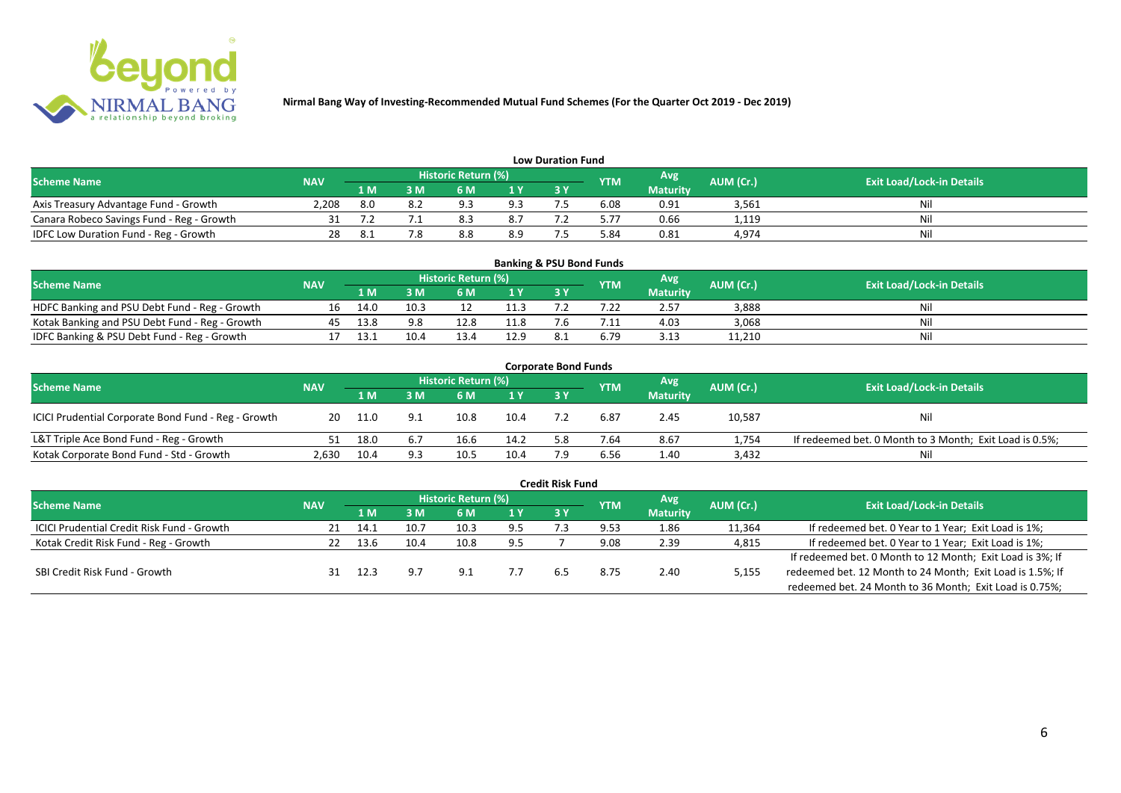

| <b>Low Duration Fund</b>                  |            |     |     |                     |                |     |            |                 |           |                                  |  |  |  |
|-------------------------------------------|------------|-----|-----|---------------------|----------------|-----|------------|-----------------|-----------|----------------------------------|--|--|--|
| <b>Scheme Name</b>                        | <b>NAV</b> |     |     | Historic Return (%) |                |     | <b>YTM</b> | Avg             | AUM (Cr.) | <b>Exit Load/Lock-in Details</b> |  |  |  |
|                                           |            | 1 M | : M | 6 M                 | 1 <sub>Y</sub> | 3 Y |            | <b>Maturity</b> |           |                                  |  |  |  |
| Axis Treasury Advantage Fund - Growth     | 2.208      |     |     |                     | 9.3            |     |            | 0.91            | 3,561     | Nil                              |  |  |  |
| Canara Robeco Savings Fund - Reg - Growth |            |     |     |                     | 8.7            |     | 5.77       | 0.66            | 1,119     | Nil                              |  |  |  |
| IDFC Low Duration Fund - Reg - Growth     |            |     |     |                     | 8.9            |     | 84.د       | 0.81            | 4,974     | Nil                              |  |  |  |

| <b>Banking &amp; PSU Bond Funds</b>            |            |           |      |                            |      |            |            |                 |           |                                  |  |  |  |
|------------------------------------------------|------------|-----------|------|----------------------------|------|------------|------------|-----------------|-----------|----------------------------------|--|--|--|
| <b>Scheme Name</b>                             | <b>NAV</b> |           |      | <b>Historic Return (%)</b> |      |            | <b>YTM</b> | Avg             | AUM (Cr.) | <b>Exit Load/Lock-in Details</b> |  |  |  |
|                                                |            | 1 M       |      | 6 M                        |      | <b>3 Y</b> |            | <b>Maturity</b> |           |                                  |  |  |  |
| HDFC Banking and PSU Debt Fund - Reg - Growth  | 16         | 14.0      | 10.3 |                            | 11.3 |            |            | 2.57            | 3,888     | Nil                              |  |  |  |
| Kotak Banking and PSU Debt Fund - Reg - Growth | 45         | 13.8      | 9.8  | 12.8                       | 11.8 |            |            | 4.03            | 3,068     | Nil                              |  |  |  |
| IDFC Banking & PSU Debt Fund - Reg - Growth    |            | ี่ 1 3 ว่ | 10.4 | 13.4                       | 12.9 |            | 6.79       | 3.13            | 11,210    | Nil                              |  |  |  |

|                                                     |            |      |                            |      |                | <b>Corporate Bond Funds</b> |      |                 |                                  |                                                         |
|-----------------------------------------------------|------------|------|----------------------------|------|----------------|-----------------------------|------|-----------------|----------------------------------|---------------------------------------------------------|
| <b>Scheme Name</b>                                  | <b>NAV</b> |      | <b>Historic Return (%)</b> |      |                | <b>YTM</b>                  | Avg  | AUM (Cr.)       | <b>Exit Load/Lock-in Details</b> |                                                         |
|                                                     |            | 1 M  | : M                        | 6 M  | 1 <sub>Y</sub> | 3 Y                         |      | <b>Maturity</b> |                                  |                                                         |
| ICICI Prudential Corporate Bond Fund - Reg - Growth | 20         | 11.0 | 9.1                        | 10.8 | 10.4           |                             | 6.87 | 2.45            | 10,587                           | <b>Nil</b>                                              |
| L&T Triple Ace Bond Fund - Reg - Growth             |            | 18.0 | 6.7                        | 16.6 | 14.2           | 5.8                         | 7.64 | 8.67            | 1,754                            | If redeemed bet. 0 Month to 3 Month; Exit Load is 0.5%; |
| Kotak Corporate Bond Fund - Std - Growth            | 2,630      | 10.4 |                            | 10.5 | 10.4           |                             | 6.56 | 1.40            | 3,432                            | Nil                                                     |

|                                                   |            |      |      |                            |     | <b>Credit Risk Fund</b> |            |                 |           |                                                           |
|---------------------------------------------------|------------|------|------|----------------------------|-----|-------------------------|------------|-----------------|-----------|-----------------------------------------------------------|
| <b>Scheme Name</b>                                | <b>NAV</b> |      |      | <b>Historic Return (%)</b> |     |                         | <b>YTM</b> | Avg             | AUM (Cr.) | <b>Exit Load/Lock-in Details</b>                          |
|                                                   |            | 1 M. | 3 M  | 6 M                        | 1 Y | 3 Y                     |            | <b>Maturity</b> |           |                                                           |
| <b>ICICI Prudential Credit Risk Fund - Growth</b> | 21         | 14.1 | 10.7 | 10.3                       | 9.5 |                         | 9.53       | 1.86            | 11,364    | If redeemed bet. 0 Year to 1 Year; Exit Load is 1%;       |
| Kotak Credit Risk Fund - Reg - Growth             |            | 13.6 | 10.4 | 10.8                       | 9.5 |                         | 9.08       | 2.39            | 4,815     | If redeemed bet. 0 Year to 1 Year; Exit Load is 1%;       |
|                                                   |            |      |      |                            |     |                         |            |                 |           | If redeemed bet. 0 Month to 12 Month; Exit Load is 3%; If |
| SBI Credit Risk Fund - Growth                     |            |      |      | د.9                        |     |                         | 8.75       | 2.40            | 5,155     | redeemed bet. 12 Month to 24 Month; Exit Load is 1.5%; If |
|                                                   |            |      |      |                            |     |                         |            |                 |           | redeemed bet. 24 Month to 36 Month; Exit Load is 0.75%;   |